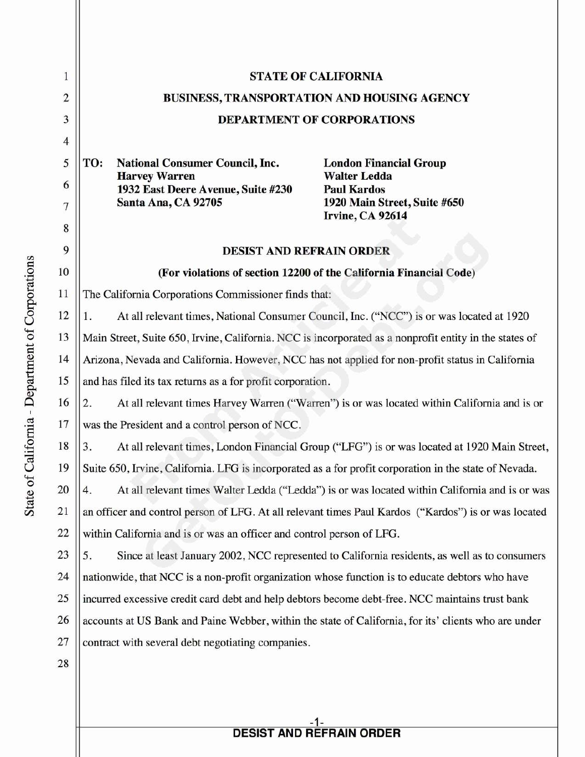| 1                       | <b>STATE OF CALIFORNIA</b>                                                                              |
|-------------------------|---------------------------------------------------------------------------------------------------------|
| $\overline{\mathbf{c}}$ | <b>BUSINESS, TRANSPORTATION AND HOUSING AGENCY</b>                                                      |
| 3                       | <b>DEPARTMENT OF CORPORATIONS</b>                                                                       |
| $\overline{4}$          |                                                                                                         |
| 5                       | TO:<br><b>National Consumer Council, Inc.</b><br><b>London Financial Group</b>                          |
| 6                       | <b>Harvey Warren</b><br><b>Walter Ledda</b><br>1932 East Deere Avenue, Suite #230<br><b>Paul Kardos</b> |
| 7                       | Santa Ana, CA 92705<br>1920 Main Street, Suite #650                                                     |
| 8                       | Irvine, CA 92614                                                                                        |
| 9                       | <b>DESIST AND REFRAIN ORDER</b>                                                                         |
| 10                      | (For violations of section 12200 of the California Financial Code)                                      |
| 11                      | The California Corporations Commissioner finds that:                                                    |
| 12                      | At all relevant times, National Consumer Council, Inc. ("NCC") is or was located at 1920<br>1.          |
| 13                      | Main Street, Suite 650, Irvine, California. NCC is incorporated as a nonprofit entity in the states of  |
| 14                      | Arizona, Nevada and California. However, NCC has not applied for non-profit status in California        |
| 15                      | and has filed its tax returns as a for profit corporation.                                              |
| 16                      | At all relevant times Harvey Warren ("Warren") is or was located within California and is or<br>2.      |
| 17                      | was the President and a control person of NCC.                                                          |
| 18                      | At all relevant times, London Financial Group ("LFG") is or was located at 1920 Main Street,<br>3.      |
| 19                      | Suite 650, Irvine, California. LFG is incorporated as a for profit corporation in the state of Nevada.  |
| 20                      | At all relevant times Walter Ledda ("Ledda") is or was located within California and is or was<br>4.    |
| 21                      | an officer and control person of LFG. At all relevant times Paul Kardos ("Kardos") is or was located    |
| 22                      | within California and is or was an officer and control person of LFG.                                   |
| 23                      | Since at least January 2002, NCC represented to California residents, as well as to consumers<br>5.     |
| 24                      | nationwide, that NCC is a non-profit organization whose function is to educate debtors who have         |
| 25                      | incurred excessive credit card debt and help debtors become debt-free. NCC maintains trust bank         |
| 26                      | accounts at US Bank and Paine Webber, within the state of California, for its' clients who are under    |
| 27                      | contract with several debt negotiating companies.                                                       |
| 28                      |                                                                                                         |
|                         |                                                                                                         |

## **DESIST AND REFRAIN ORDER**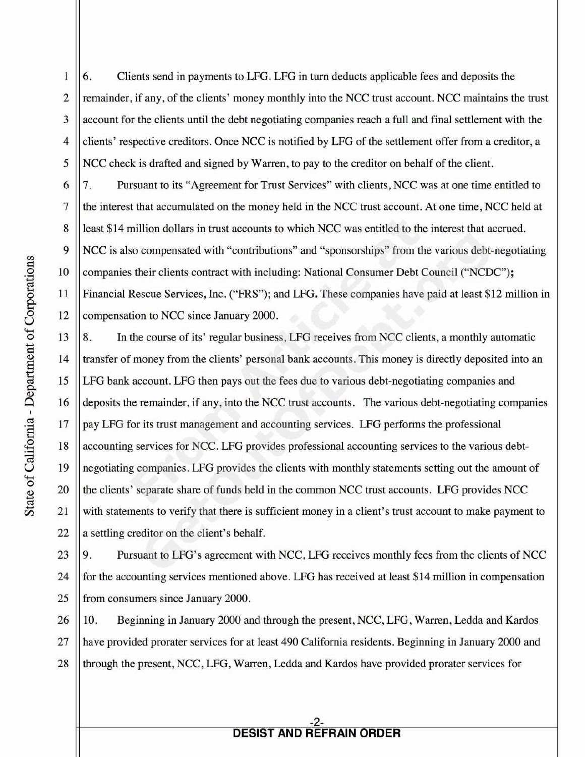6. Clients send in payments to LFG. LFG in turn deducts applicable fees and deposits the  $\overline{2}$ remainder, if any, of the clients' money monthly into the NCC trust account. NCC maintains the trust 3 account for the clients until the debt negotiating companies reach a full and final settlement with the  $\overline{4}$ clients' respective creditors. Once NCC is notified by LFG of the settlement offer from a creditor, a 5 NCC check is drafted and signed by Warren, to pay to the creditor on behalf of the client.

7. Pursuant to its "Agreement for Trust Services" with clients, NCC was at one time entitled to the interest that accumulated on the money held in the NCC trust account. At one time, NCC held at least \$14 million dollars in trust accounts to which NCC was entitled to the interest that accrued. 9 NCC is also compensated with "contributions" and "sponsorships" from the various debt-negotiating 10 Companies their clients contract with including: National Consumer Debt Council ("NCDC"); 11 Financial Rescue Services, Inc. ("FRS"); and LFG. These companies have paid at least \$12 million in 12 | compensation to NCC since January 2000.

 $13 \parallel 8$ . In the course of its' regular business, LFG receives from NCC clients, a monthly automatic 14 || transfer of money from the clients' personal bank accounts. This money is directly deposited into an 15 LFG bank account. LFG then pays out the fees due to various debt-negotiating companies and 16 | deposits the remainder, if any, into the NCC trust accounts. The various debt-negotiating companies 17 || pay LFG for its trust management and accounting services. LFG performs the professional 18 | accounting services for NCC. LFG provides professional accounting services to the various debt-19 negotiating companies. LFG provides the clients with monthly statements setting out the amount of 20 the clients' separate share of funds held in the common NCC trust accounts. LFG provides NCC 21 with statements to verify that there is sufficient money in a client's trust account to make payment to  $22$  || a settling creditor on the client's behalf.

23  $\vert\vert$  9. Pursuant to LFG's agreement with NCC, LFG receives monthly fees from the clients of NCC 24 for the accounting services mentioned above. LFG has received at least \$14 million in compensation 25 || from consumers since January 2000.

26 || 10. Beginning in January 2000 and through the present, NCC, LFG, Warren, Ledda and Kardos 27 have provided prorater services for at least 490 California residents. Beginning in January 2000 and 28 through the present, NCC, LFG, Warren, Ledda and Kardos have provided prorater services for

 $\mathbf{1}$ 

6

7

8

## **DESIST AND REFRAIN ORDER**